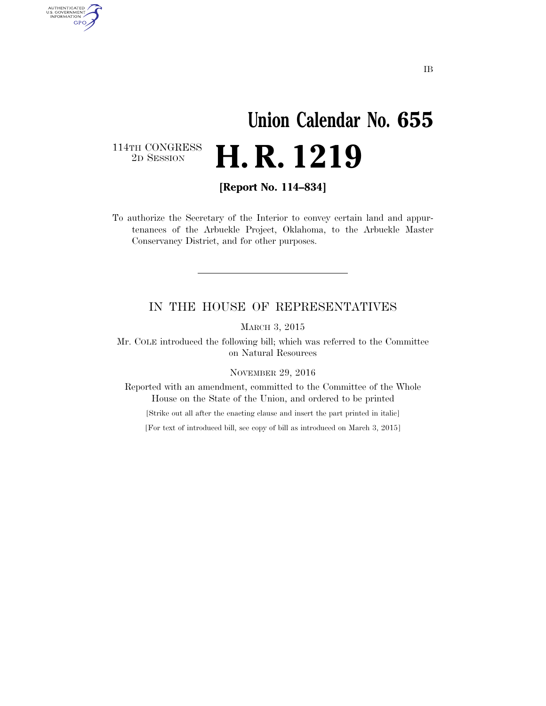# **Union Calendar No. 655**  2D SESSION **H. R. 1219**

114TH CONGRESS<br>2D SESSION

AUTHENTICATED<br>U.S. GOVERNMENT<br>INFORMATION **GPO** 

**[Report No. 114–834]** 

To authorize the Secretary of the Interior to convey certain land and appurtenances of the Arbuckle Project, Oklahoma, to the Arbuckle Master Conservancy District, and for other purposes.

#### IN THE HOUSE OF REPRESENTATIVES

MARCH 3, 2015

Mr. COLE introduced the following bill; which was referred to the Committee on Natural Resources

NOVEMBER 29, 2016

Reported with an amendment, committed to the Committee of the Whole House on the State of the Union, and ordered to be printed

[Strike out all after the enacting clause and insert the part printed in italic]

[For text of introduced bill, see copy of bill as introduced on March 3, 2015]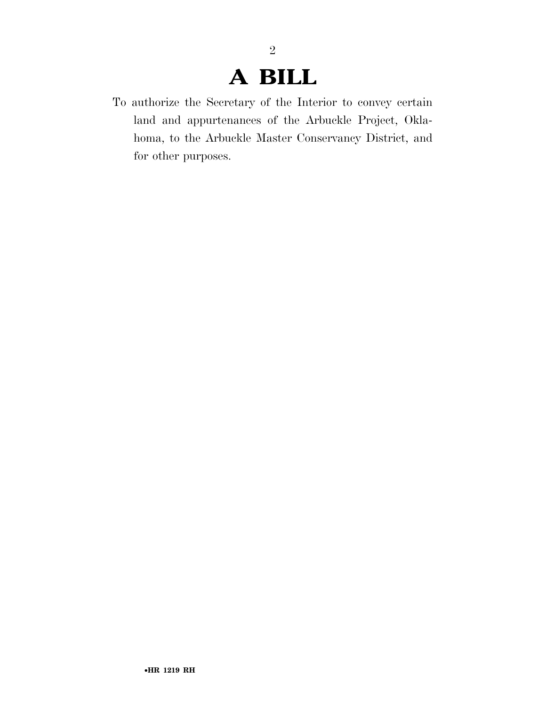## **A BILL**

2

To authorize the Secretary of the Interior to convey certain land and appurtenances of the Arbuckle Project, Oklahoma, to the Arbuckle Master Conservancy District, and for other purposes.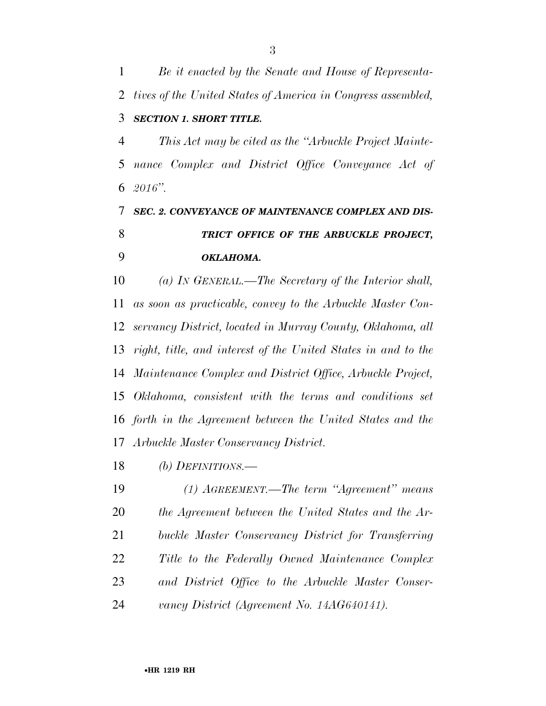*Be it enacted by the Senate and House of Representa- tives of the United States of America in Congress assembled, SECTION 1. SHORT TITLE.* 

 *This Act may be cited as the ''Arbuckle Project Mainte- nance Complex and District Office Conveyance Act of 2016''.* 

### *SEC. 2. CONVEYANCE OF MAINTENANCE COMPLEX AND DIS- TRICT OFFICE OF THE ARBUCKLE PROJECT, OKLAHOMA.*

 *(a) IN GENERAL.—The Secretary of the Interior shall, as soon as practicable, convey to the Arbuckle Master Con- servancy District, located in Murray County, Oklahoma, all right, title, and interest of the United States in and to the Maintenance Complex and District Office, Arbuckle Project, Oklahoma, consistent with the terms and conditions set forth in the Agreement between the United States and the Arbuckle Master Conservancy District.* 

*(b) DEFINITIONS.—* 

 *(1) AGREEMENT.—The term ''Agreement'' means the Agreement between the United States and the Ar- buckle Master Conservancy District for Transferring Title to the Federally Owned Maintenance Complex and District Office to the Arbuckle Master Conser-vancy District (Agreement No. 14AG640141).*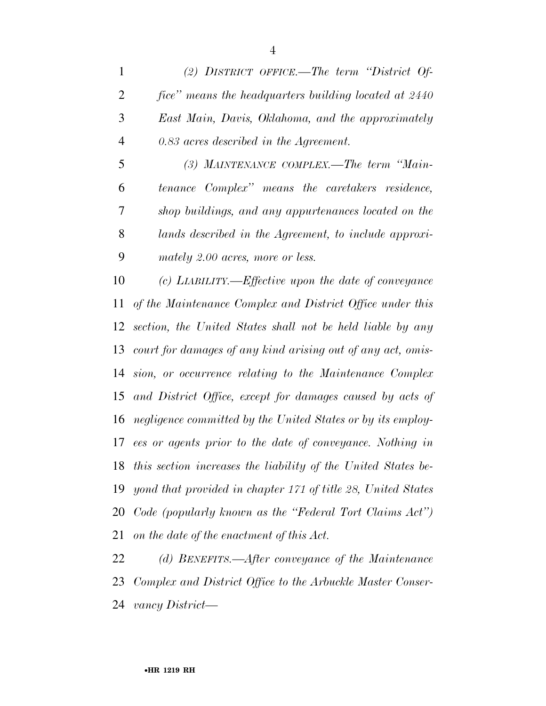*(2) DISTRICT OFFICE.—The term ''District Of- fice'' means the headquarters building located at 2440 East Main, Davis, Oklahoma, and the approximately 0.83 acres described in the Agreement.* 

 *(3) MAINTENANCE COMPLEX.—The term ''Main- tenance Complex'' means the caretakers residence, shop buildings, and any appurtenances located on the lands described in the Agreement, to include approxi-mately 2.00 acres, more or less.* 

 *(c) LIABILITY.—Effective upon the date of conveyance of the Maintenance Complex and District Office under this section, the United States shall not be held liable by any court for damages of any kind arising out of any act, omis- sion, or occurrence relating to the Maintenance Complex and District Office, except for damages caused by acts of negligence committed by the United States or by its employ- ees or agents prior to the date of conveyance. Nothing in this section increases the liability of the United States be- yond that provided in chapter 171 of title 28, United States Code (popularly known as the ''Federal Tort Claims Act'') on the date of the enactment of this Act.* 

 *(d) BENEFITS.—After conveyance of the Maintenance Complex and District Office to the Arbuckle Master Conser-vancy District—*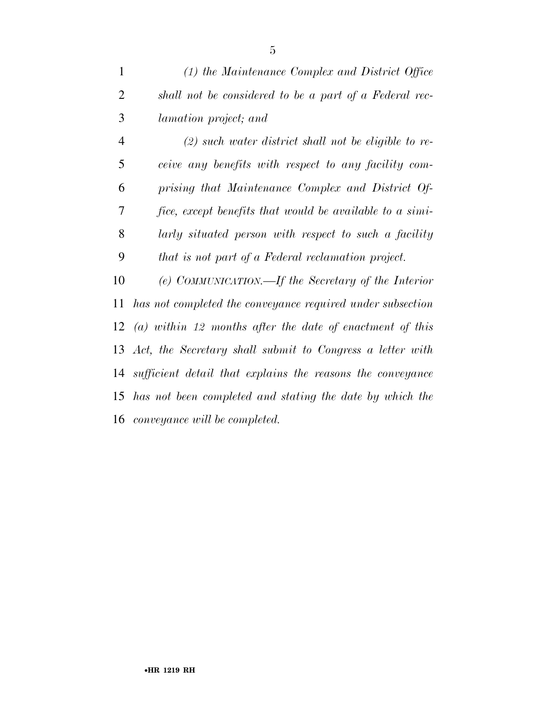| $\mathbf{1}$   | (1) the Maintenance Complex and District Office          |
|----------------|----------------------------------------------------------|
| 2              | shall not be considered to be a part of a Federal rec-   |
| 3              | <i>lamation project; and</i>                             |
| $\overline{4}$ | $(2)$ such water district shall not be eligible to re-   |
| 5              | ceive any benefits with respect to any facility com-     |
| 6              | prising that Maintenance Complex and District Of-        |
| 7              | fice, except benefits that would be available to a simi- |
| 8              | larly situated person with respect to such a facility    |

*that is not part of a Federal reclamation project.* 

 *(e) COMMUNICATION.—If the Secretary of the Interior has not completed the conveyance required under subsection (a) within 12 months after the date of enactment of this Act, the Secretary shall submit to Congress a letter with sufficient detail that explains the reasons the conveyance has not been completed and stating the date by which the conveyance will be completed.*